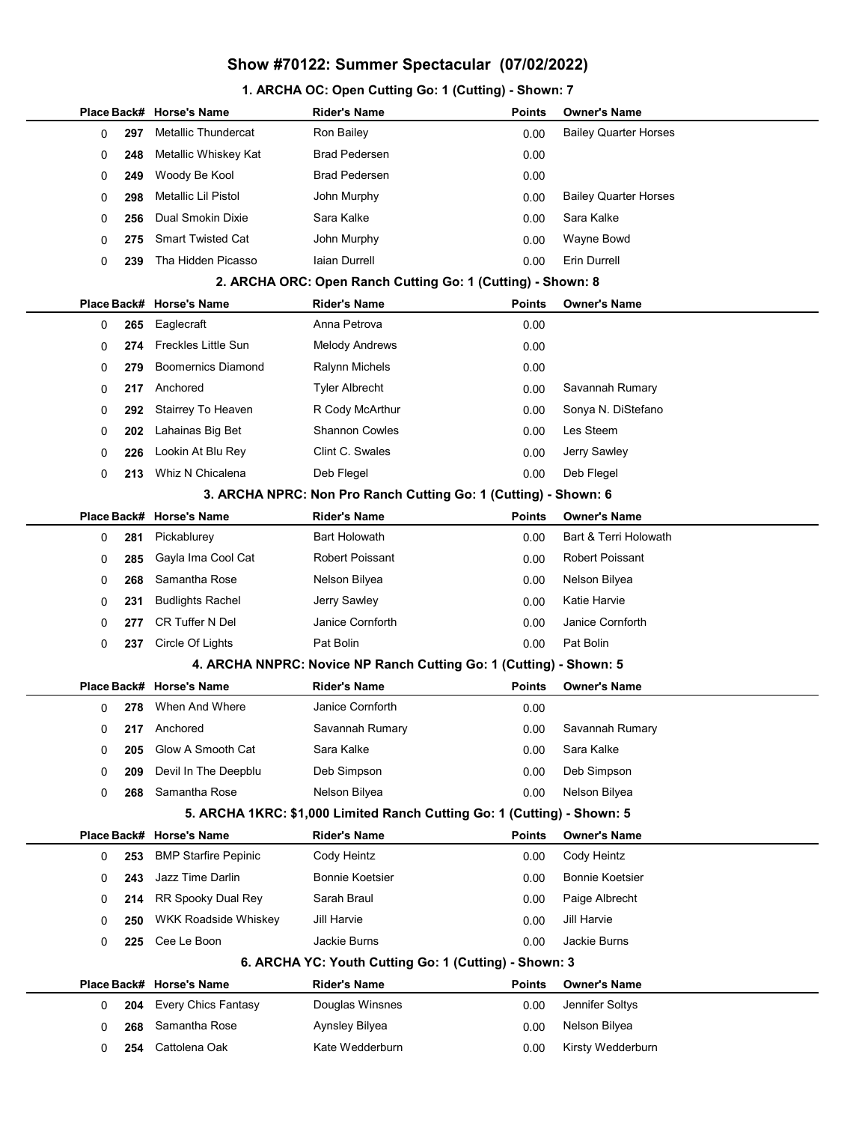## Show #70122: Summer Spectacular (07/02/2022)

## 1. ARCHA OC: Open Cutting Go: 1 (Cutting) - Shown: 7

|  |   |     | Place Back# Horse's Name                                        | <b>Rider's Name</b>                                                     | <b>Points</b> | Owner's Name                 |  |  |
|--|---|-----|-----------------------------------------------------------------|-------------------------------------------------------------------------|---------------|------------------------------|--|--|
|  | 0 | 297 | Metallic Thundercat                                             | Ron Bailey                                                              | 0.00          | <b>Bailey Quarter Horses</b> |  |  |
|  | 0 | 248 | Metallic Whiskey Kat                                            | <b>Brad Pedersen</b>                                                    | 0.00          |                              |  |  |
|  | 0 | 249 | Woody Be Kool                                                   | <b>Brad Pedersen</b>                                                    | 0.00          |                              |  |  |
|  | 0 | 298 | Metallic Lil Pistol                                             | John Murphy                                                             | 0.00          | <b>Bailey Quarter Horses</b> |  |  |
|  | 0 | 256 | Dual Smokin Dixie                                               | Sara Kalke                                                              | 0.00          | Sara Kalke                   |  |  |
|  | 0 | 275 | <b>Smart Twisted Cat</b>                                        | John Murphy                                                             | 0.00          | Wayne Bowd                   |  |  |
|  | 0 | 239 | Tha Hidden Picasso                                              | <b>laian Durrell</b>                                                    | 0.00          | Erin Durrell                 |  |  |
|  |   |     |                                                                 | 2. ARCHA ORC: Open Ranch Cutting Go: 1 (Cutting) - Shown: 8             |               |                              |  |  |
|  |   |     | Place Back# Horse's Name                                        | <b>Rider's Name</b>                                                     | <b>Points</b> | Owner's Name                 |  |  |
|  | 0 | 265 | Eaglecraft                                                      | Anna Petrova                                                            | 0.00          |                              |  |  |
|  | 0 | 274 | <b>Freckles Little Sun</b>                                      | <b>Melody Andrews</b>                                                   | 0.00          |                              |  |  |
|  | 0 | 279 | <b>Boomernics Diamond</b>                                       | <b>Ralynn Michels</b>                                                   | 0.00          |                              |  |  |
|  | 0 | 217 | Anchored                                                        | <b>Tyler Albrecht</b>                                                   | 0.00          | Savannah Rumary              |  |  |
|  | 0 | 292 | Stairrey To Heaven                                              | R Cody McArthur                                                         | 0.00          | Sonya N. DiStefano           |  |  |
|  | 0 | 202 | Lahainas Big Bet                                                | <b>Shannon Cowles</b>                                                   | 0.00          | Les Steem                    |  |  |
|  | 0 | 226 | Lookin At Blu Rey                                               | Clint C. Swales                                                         | 0.00          | Jerry Sawley                 |  |  |
|  | 0 | 213 | Whiz N Chicalena                                                | Deb Flegel                                                              | 0.00          | Deb Flegel                   |  |  |
|  |   |     | 3. ARCHA NPRC: Non Pro Ranch Cutting Go: 1 (Cutting) - Shown: 6 |                                                                         |               |                              |  |  |
|  |   |     | Place Back# Horse's Name                                        | <b>Rider's Name</b>                                                     | <b>Points</b> | <b>Owner's Name</b>          |  |  |
|  | 0 | 281 | Pickablurey                                                     | <b>Bart Holowath</b>                                                    | 0.00          | Bart & Terri Holowath        |  |  |
|  | 0 | 285 | Gayla Ima Cool Cat                                              | <b>Robert Poissant</b>                                                  | 0.00          | <b>Robert Poissant</b>       |  |  |
|  | 0 | 268 | Samantha Rose                                                   | Nelson Bilyea                                                           | 0.00          | Nelson Bilyea                |  |  |
|  | 0 | 231 | <b>Budlights Rachel</b>                                         | Jerry Sawley                                                            | 0.00          | Katie Harvie                 |  |  |
|  | 0 | 277 | <b>CR Tuffer N Del</b>                                          | Janice Cornforth                                                        | 0.00          | Janice Cornforth             |  |  |
|  | 0 | 237 | Circle Of Lights                                                | Pat Bolin                                                               | 0.00          | Pat Bolin                    |  |  |
|  |   |     |                                                                 | 4. ARCHA NNPRC: Novice NP Ranch Cutting Go: 1 (Cutting) - Shown: 5      |               |                              |  |  |
|  |   |     | Place Back# Horse's Name                                        | <b>Rider's Name</b>                                                     | <b>Points</b> | <b>Owner's Name</b>          |  |  |
|  | 0 | 278 | When And Where                                                  | Janice Cornforth                                                        | 0.00          |                              |  |  |
|  | 0 | 217 | Anchored                                                        | Savannah Rumary                                                         | 0.00          | Savannah Rumary              |  |  |
|  | 0 | 205 | Glow A Smooth Cat                                               | Sara Kalke                                                              | 0.00          | Sara Kalke                   |  |  |
|  | 0 | 209 | Devil In The Deepblu                                            | Deb Simpson                                                             | 0.00          | Deb Simpson                  |  |  |
|  | 0 | 268 | Samantha Rose                                                   | Nelson Bilyea                                                           | 0.00          | Nelson Bilyea                |  |  |
|  |   |     |                                                                 | 5. ARCHA 1KRC: \$1,000 Limited Ranch Cutting Go: 1 (Cutting) - Shown: 5 |               |                              |  |  |
|  |   |     | Place Back# Horse's Name                                        | <b>Rider's Name</b>                                                     | <b>Points</b> | <b>Owner's Name</b>          |  |  |
|  | 0 | 253 | <b>BMP Starfire Pepinic</b>                                     | Cody Heintz                                                             | 0.00          | Cody Heintz                  |  |  |
|  | 0 | 243 | Jazz Time Darlin                                                | <b>Bonnie Koetsier</b>                                                  | 0.00          | Bonnie Koetsier              |  |  |
|  | 0 | 214 | RR Spooky Dual Rey                                              | Sarah Braul                                                             | 0.00          | Paige Albrecht               |  |  |
|  | 0 | 250 | <b>WKK Roadside Whiskey</b>                                     | Jill Harvie                                                             | 0.00          | Jill Harvie                  |  |  |
|  | 0 | 225 | Cee Le Boon                                                     | <b>Jackie Burns</b>                                                     | 0.00          | Jackie Burns                 |  |  |
|  |   |     |                                                                 | 6. ARCHA YC: Youth Cutting Go: 1 (Cutting) - Shown: 3                   |               |                              |  |  |
|  |   |     | Place Back# Horse's Name                                        | <b>Rider's Name</b>                                                     | <b>Points</b> | Owner's Name                 |  |  |
|  | 0 | 204 | <b>Every Chics Fantasy</b>                                      | Douglas Winsnes                                                         | 0.00          | Jennifer Soltys              |  |  |
|  | 0 | 268 | Samantha Rose                                                   | Aynsley Bilyea                                                          | 0.00          | Nelson Bilyea                |  |  |
|  | 0 | 254 | Cattolena Oak                                                   | Kate Wedderburn                                                         | 0.00          | Kirsty Wedderburn            |  |  |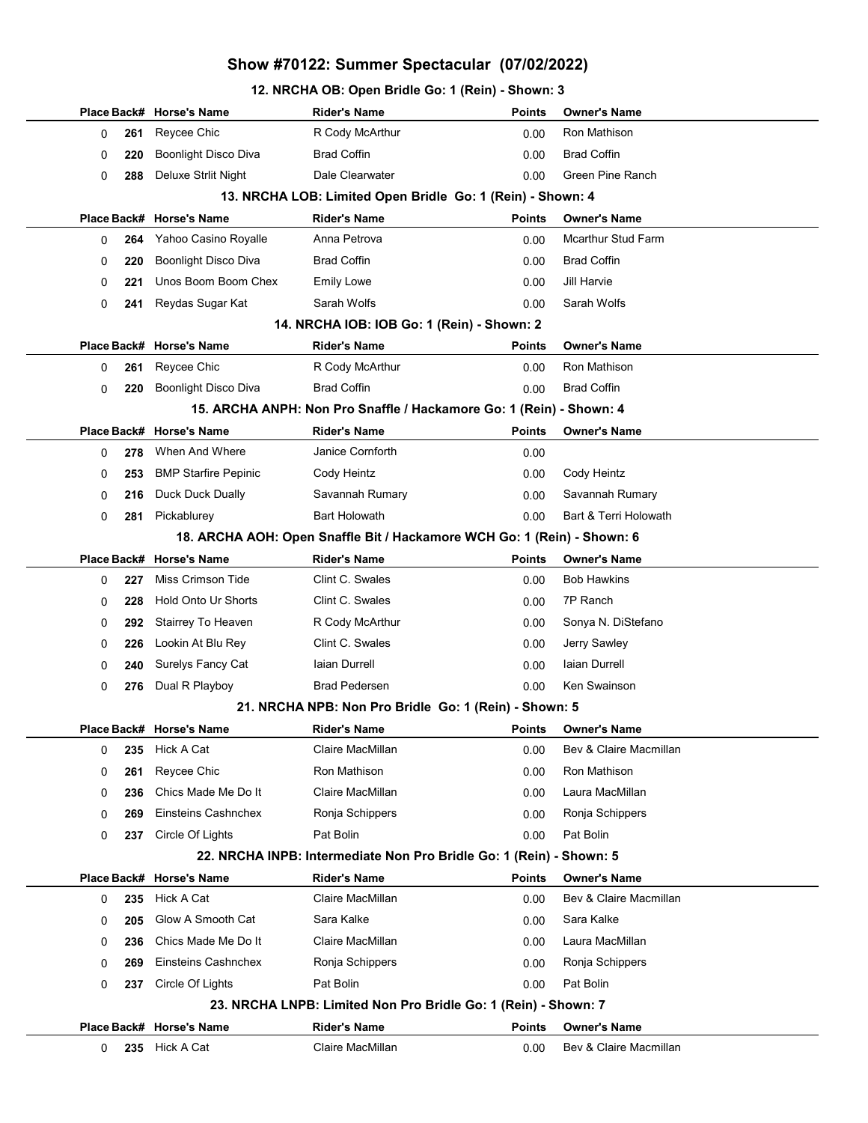## Show #70122: Summer Spectacular (07/02/2022)

### 12. NRCHA OB: Open Bridle Go: 1 (Rein) - Shown: 3

|                                                            |     | Place Back# Horse's Name    | <b>Rider's Name</b>                                                     | <b>Points</b> | <b>Owner's Name</b>       |  |  |  |
|------------------------------------------------------------|-----|-----------------------------|-------------------------------------------------------------------------|---------------|---------------------------|--|--|--|
| 0                                                          | 261 | Reycee Chic                 | R Cody McArthur                                                         | 0.00          | Ron Mathison              |  |  |  |
| 0                                                          | 220 | Boonlight Disco Diva        | <b>Brad Coffin</b>                                                      | 0.00          | <b>Brad Coffin</b>        |  |  |  |
| 0                                                          | 288 | Deluxe Strlit Night         | Dale Clearwater                                                         | 0.00          | Green Pine Ranch          |  |  |  |
| 13. NRCHA LOB: Limited Open Bridle Go: 1 (Rein) - Shown: 4 |     |                             |                                                                         |               |                           |  |  |  |
|                                                            |     | Place Back# Horse's Name    | <b>Rider's Name</b>                                                     | <b>Points</b> | <b>Owner's Name</b>       |  |  |  |
| 0                                                          | 264 | Yahoo Casino Royalle        | Anna Petrova                                                            | 0.00          | <b>Mcarthur Stud Farm</b> |  |  |  |
| 0                                                          | 220 | <b>Boonlight Disco Diva</b> | <b>Brad Coffin</b>                                                      | 0.00          | <b>Brad Coffin</b>        |  |  |  |
| 0                                                          | 221 | Unos Boom Boom Chex         | <b>Emily Lowe</b>                                                       | 0.00          | Jill Harvie               |  |  |  |
| 0                                                          | 241 | Reydas Sugar Kat            | Sarah Wolfs                                                             | 0.00          | Sarah Wolfs               |  |  |  |
|                                                            |     |                             | 14. NRCHA IOB: IOB Go: 1 (Rein) - Shown: 2                              |               |                           |  |  |  |
|                                                            |     | Place Back# Horse's Name    | <b>Rider's Name</b>                                                     | <b>Points</b> | <b>Owner's Name</b>       |  |  |  |
| 0                                                          | 261 | Reycee Chic                 | R Cody McArthur                                                         | 0.00          | Ron Mathison              |  |  |  |
| 0                                                          | 220 | <b>Boonlight Disco Diva</b> | <b>Brad Coffin</b>                                                      | 0.00          | <b>Brad Coffin</b>        |  |  |  |
|                                                            |     |                             | 15. ARCHA ANPH: Non Pro Snaffle / Hackamore Go: 1 (Rein) - Shown: 4     |               |                           |  |  |  |
|                                                            |     | Place Back# Horse's Name    | <b>Rider's Name</b>                                                     | <b>Points</b> | <b>Owner's Name</b>       |  |  |  |
| 0                                                          | 278 | When And Where              | Janice Cornforth                                                        | 0.00          |                           |  |  |  |
| 0                                                          | 253 | <b>BMP Starfire Pepinic</b> | Cody Heintz                                                             | 0.00          | Cody Heintz               |  |  |  |
| 0                                                          | 216 | Duck Duck Dually            | Savannah Rumary                                                         | 0.00          | Savannah Rumary           |  |  |  |
| 0                                                          | 281 | Pickablurey                 | <b>Bart Holowath</b>                                                    | 0.00          | Bart & Terri Holowath     |  |  |  |
|                                                            |     |                             | 18. ARCHA AOH: Open Snaffle Bit / Hackamore WCH Go: 1 (Rein) - Shown: 6 |               |                           |  |  |  |
|                                                            |     | Place Back# Horse's Name    | <b>Rider's Name</b>                                                     | <b>Points</b> | <b>Owner's Name</b>       |  |  |  |
| 0                                                          | 227 | Miss Crimson Tide           | Clint C. Swales                                                         | 0.00          | <b>Bob Hawkins</b>        |  |  |  |
| 0                                                          | 228 | <b>Hold Onto Ur Shorts</b>  | Clint C. Swales                                                         | 0.00          | 7P Ranch                  |  |  |  |
| 0                                                          | 292 | Stairrey To Heaven          | R Cody McArthur                                                         | 0.00          | Sonya N. DiStefano        |  |  |  |
| 0                                                          | 226 | Lookin At Blu Rey           | Clint C. Swales                                                         | 0.00          | Jerry Sawley              |  |  |  |
| 0                                                          | 240 | <b>Surelys Fancy Cat</b>    | laian Durrell                                                           | 0.00          | Iaian Durrell             |  |  |  |
| 0                                                          | 276 | Dual R Playboy              | <b>Brad Pedersen</b>                                                    | 0.00          | Ken Swainson              |  |  |  |
|                                                            |     |                             | 21. NRCHA NPB: Non Pro Bridle Go: 1 (Rein) - Shown: 5                   |               |                           |  |  |  |
|                                                            |     | Place Back# Horse's Name    | Rider's Name                                                            |               | Points Owner's Name       |  |  |  |
| 0                                                          | 235 | Hick A Cat                  | Claire MacMillan                                                        | 0.00          | Bev & Claire Macmillan    |  |  |  |
| 0                                                          | 261 | Reycee Chic                 | Ron Mathison                                                            | 0.00          | Ron Mathison              |  |  |  |
| 0                                                          | 236 | Chics Made Me Do It         | Claire MacMillan                                                        | 0.00          | Laura MacMillan           |  |  |  |
| 0                                                          | 269 | Einsteins Cashnchex         | Ronja Schippers                                                         | 0.00          | Ronja Schippers           |  |  |  |
| 0                                                          | 237 | Circle Of Lights            | Pat Bolin                                                               | 0.00          | Pat Bolin                 |  |  |  |
|                                                            |     |                             | 22. NRCHA INPB: Intermediate Non Pro Bridle Go: 1 (Rein) - Shown: 5     |               |                           |  |  |  |
|                                                            |     | Place Back# Horse's Name    | <b>Rider's Name</b>                                                     | <b>Points</b> | <b>Owner's Name</b>       |  |  |  |
| 0                                                          | 235 | Hick A Cat                  | Claire MacMillan                                                        | 0.00          | Bev & Claire Macmillan    |  |  |  |
| 0                                                          | 205 | Glow A Smooth Cat           | Sara Kalke                                                              | 0.00          | Sara Kalke                |  |  |  |
| 0                                                          | 236 | Chics Made Me Do It         | Claire MacMillan                                                        | 0.00          | Laura MacMillan           |  |  |  |
| 0                                                          | 269 | Einsteins Cashnchex         | Ronja Schippers                                                         | 0.00          | Ronja Schippers           |  |  |  |
| 0                                                          | 237 | Circle Of Lights            | Pat Bolin                                                               | 0.00          | Pat Bolin                 |  |  |  |
|                                                            |     |                             | 23. NRCHA LNPB: Limited Non Pro Bridle Go: 1 (Rein) - Shown: 7          |               |                           |  |  |  |
|                                                            |     | Place Back# Horse's Name    | <b>Rider's Name</b>                                                     | <b>Points</b> | <b>Owner's Name</b>       |  |  |  |
| 0                                                          | 235 | Hick A Cat                  | Claire MacMillan                                                        | 0.00          | Bev & Claire Macmillan    |  |  |  |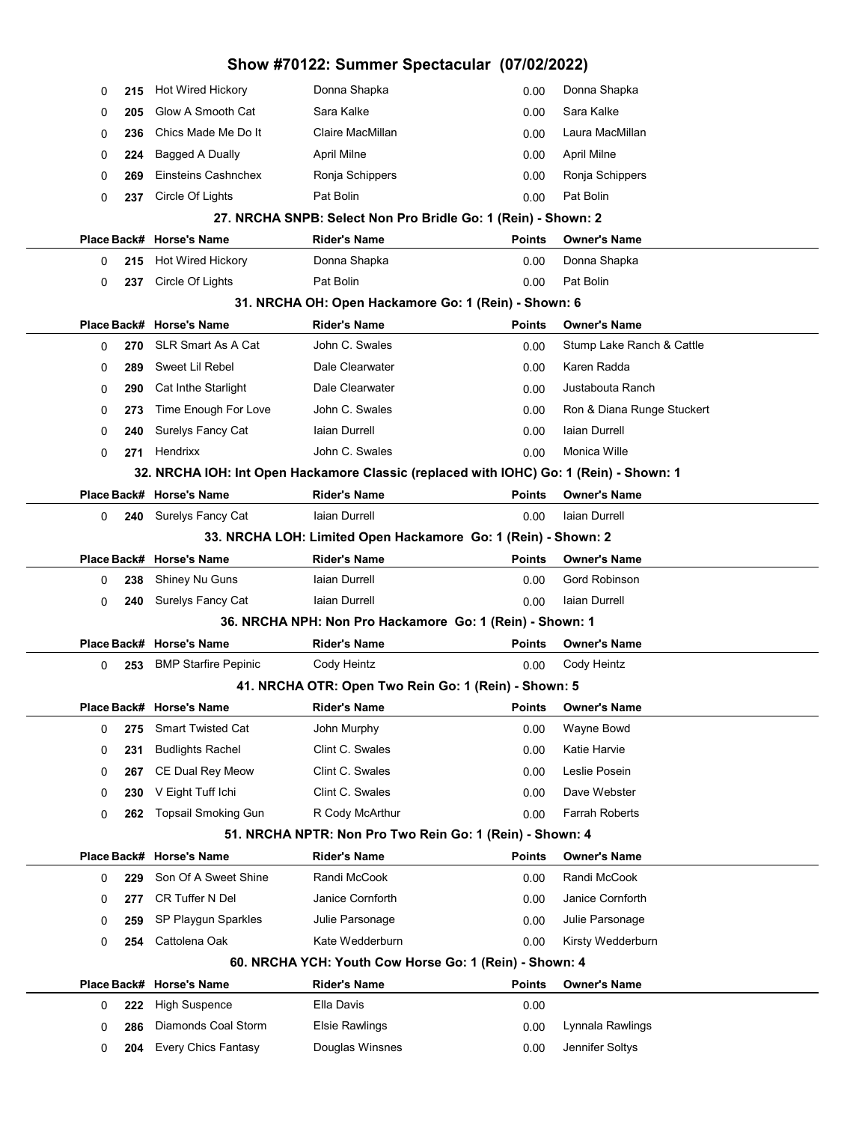| Show #70122: Summer Spectacular (07/02/2022) |            |                                                    |                                                                                        |               |                            |  |  |
|----------------------------------------------|------------|----------------------------------------------------|----------------------------------------------------------------------------------------|---------------|----------------------------|--|--|
| 0                                            | 215        | <b>Hot Wired Hickory</b>                           | Donna Shapka                                                                           | 0.00          | Donna Shapka               |  |  |
| 0                                            | 205        | Glow A Smooth Cat                                  | Sara Kalke                                                                             | 0.00          | Sara Kalke                 |  |  |
| 0                                            | 236        | Chics Made Me Do It                                | Claire MacMillan                                                                       | 0.00          | Laura MacMillan            |  |  |
| 0                                            | 224        | <b>Bagged A Dually</b>                             | April Milne                                                                            | 0.00          | April Milne                |  |  |
| 0                                            | 269        | Einsteins Cashnchex                                | Ronja Schippers                                                                        | 0.00          | Ronja Schippers            |  |  |
| 0                                            | 237        | Circle Of Lights                                   | Pat Bolin                                                                              | 0.00          | Pat Bolin                  |  |  |
|                                              |            |                                                    | 27. NRCHA SNPB: Select Non Pro Bridle Go: 1 (Rein) - Shown: 2                          |               |                            |  |  |
|                                              |            | Place Back# Horse's Name                           | <b>Rider's Name</b>                                                                    | <b>Points</b> | <b>Owner's Name</b>        |  |  |
| 0                                            | 215        | Hot Wired Hickory                                  | Donna Shapka                                                                           | 0.00          | Donna Shapka               |  |  |
| 0                                            | 237        | Circle Of Lights                                   | Pat Bolin                                                                              | 0.00          | Pat Bolin                  |  |  |
|                                              |            |                                                    | 31. NRCHA OH: Open Hackamore Go: 1 (Rein) - Shown: 6                                   |               |                            |  |  |
|                                              |            | Place Back# Horse's Name                           | <b>Rider's Name</b>                                                                    | <b>Points</b> | <b>Owner's Name</b>        |  |  |
| 0                                            | 270        | <b>SLR Smart As A Cat</b>                          | John C. Swales                                                                         | 0.00          | Stump Lake Ranch & Cattle  |  |  |
| 0                                            | 289        | Sweet Lil Rebel                                    | Dale Clearwater                                                                        | 0.00          | Karen Radda                |  |  |
| 0                                            | 290        | Cat Inthe Starlight                                | Dale Clearwater                                                                        | 0.00          | Justabouta Ranch           |  |  |
| 0                                            | 273        | Time Enough For Love                               | John C. Swales                                                                         | 0.00          | Ron & Diana Runge Stuckert |  |  |
| 0                                            | 240        | Surelys Fancy Cat                                  | laian Durrell                                                                          | 0.00          | Iaian Durrell              |  |  |
| 0                                            | 271        | Hendrixx                                           | John C. Swales                                                                         | 0.00          | Monica Wille               |  |  |
|                                              |            |                                                    | 32. NRCHA IOH: Int Open Hackamore Classic (replaced with IOHC) Go: 1 (Rein) - Shown: 1 |               |                            |  |  |
|                                              |            | Place Back# Horse's Name                           | <b>Rider's Name</b>                                                                    | Points        | <b>Owner's Name</b>        |  |  |
| 0                                            | 240        | Surelys Fancy Cat                                  | laian Durrell                                                                          | 0.00          | Iaian Durrell              |  |  |
|                                              |            |                                                    | 33. NRCHA LOH: Limited Open Hackamore Go: 1 (Rein) - Shown: 2                          |               |                            |  |  |
|                                              |            | Place Back# Horse's Name                           | <b>Rider's Name</b>                                                                    | <b>Points</b> | <b>Owner's Name</b>        |  |  |
| 0                                            | 238        | Shiney Nu Guns                                     | Iaian Durrell                                                                          | 0.00          | Gord Robinson              |  |  |
| 0                                            | 240        | <b>Surelys Fancy Cat</b>                           | laian Durrell                                                                          | 0.00          | Iaian Durrell              |  |  |
|                                              |            |                                                    | 36. NRCHA NPH: Non Pro Hackamore Go: 1 (Rein) - Shown: 1                               |               |                            |  |  |
|                                              |            | Place Back# Horse's Name                           | <b>Rider's Name</b>                                                                    | <b>Points</b> | <b>Owner's Name</b>        |  |  |
| 0                                            | 253        | <b>BMP Starfire Pepinic</b>                        | Cody Heintz                                                                            | 0.00          | Cody Heintz                |  |  |
|                                              |            |                                                    | 41. NRCHA OTR: Open Two Rein Go: 1 (Rein) - Shown: 5                                   |               |                            |  |  |
|                                              |            | Place Back# Horse's Name                           | <b>Rider's Name</b>                                                                    | <b>Points</b> | <b>Owner's Name</b>        |  |  |
| 0                                            | 275        | <b>Smart Twisted Cat</b>                           | John Murphy<br>Clint C. Swales                                                         | 0.00          | Wayne Bowd<br>Katie Harvie |  |  |
| 0                                            | 231        | <b>Budlights Rachel</b><br><b>CE Dual Rey Meow</b> | Clint C. Swales                                                                        | 0.00          | Leslie Posein              |  |  |
| 0                                            | 267<br>230 | V Eight Tuff Ichi                                  | Clint C. Swales                                                                        | 0.00<br>0.00  | Dave Webster               |  |  |
| 0<br>0                                       | 262        | <b>Topsail Smoking Gun</b>                         | R Cody McArthur                                                                        | 0.00          | <b>Farrah Roberts</b>      |  |  |
|                                              |            |                                                    | 51. NRCHA NPTR: Non Pro Two Rein Go: 1 (Rein) - Shown: 4                               |               |                            |  |  |
|                                              |            | Place Back# Horse's Name                           | <b>Rider's Name</b>                                                                    | <b>Points</b> | <b>Owner's Name</b>        |  |  |
| 0                                            | 229        | Son Of A Sweet Shine                               | Randi McCook                                                                           | 0.00          | Randi McCook               |  |  |
| 0                                            | 277        | <b>CR Tuffer N Del</b>                             | Janice Cornforth                                                                       | 0.00          | Janice Cornforth           |  |  |
| 0                                            | 259        | SP Playgun Sparkles                                | Julie Parsonage                                                                        | 0.00          | Julie Parsonage            |  |  |
| 0                                            | 254        | Cattolena Oak                                      | Kate Wedderburn                                                                        | 0.00          | Kirsty Wedderburn          |  |  |
|                                              |            |                                                    | 60. NRCHA YCH: Youth Cow Horse Go: 1 (Rein) - Shown: 4                                 |               |                            |  |  |
|                                              |            | Place Back# Horse's Name                           | <b>Rider's Name</b>                                                                    | <b>Points</b> | <b>Owner's Name</b>        |  |  |
| 0                                            | 222        | <b>High Suspence</b>                               | Ella Davis                                                                             | 0.00          |                            |  |  |
| 0                                            | 286        | Diamonds Coal Storm                                | <b>Elsie Rawlings</b>                                                                  | 0.00          | Lynnala Rawlings           |  |  |
| 0                                            | 204        | <b>Every Chics Fantasy</b>                         | Douglas Winsnes                                                                        | 0.00          | Jennifer Soltys            |  |  |
|                                              |            |                                                    |                                                                                        |               |                            |  |  |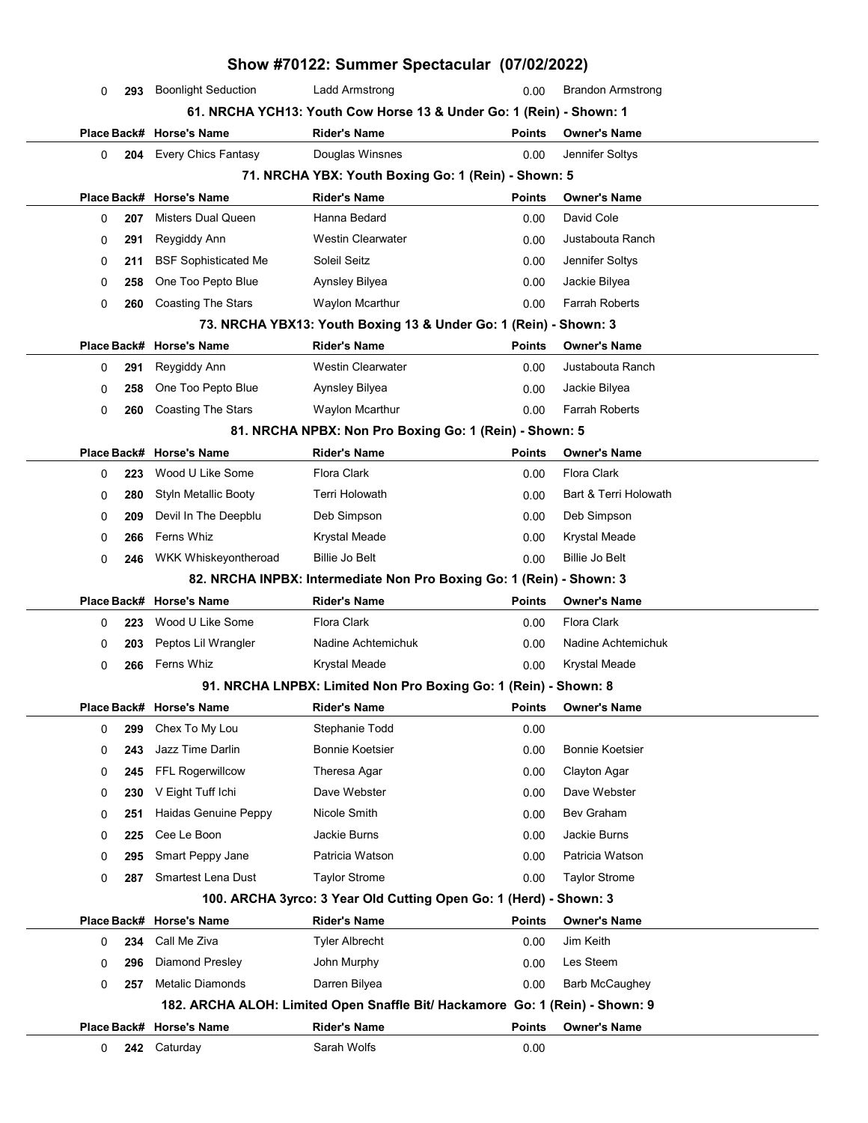| Show #70122: Summer Spectacular (07/02/2022) |                                                                              |                             |                                                                      |               |                          |  |  |  |
|----------------------------------------------|------------------------------------------------------------------------------|-----------------------------|----------------------------------------------------------------------|---------------|--------------------------|--|--|--|
|                                              | 0                                                                            | 293 Boonlight Seduction     | <b>Ladd Armstrong</b>                                                | 0.00          | <b>Brandon Armstrong</b> |  |  |  |
|                                              |                                                                              |                             | 61. NRCHA YCH13: Youth Cow Horse 13 & Under Go: 1 (Rein) - Shown: 1  |               |                          |  |  |  |
|                                              |                                                                              | Place Back# Horse's Name    | <b>Rider's Name</b>                                                  | <b>Points</b> | <b>Owner's Name</b>      |  |  |  |
|                                              | 0                                                                            | 204 Every Chics Fantasy     | Douglas Winsnes                                                      | 0.00          | Jennifer Soltys          |  |  |  |
|                                              | 71. NRCHA YBX: Youth Boxing Go: 1 (Rein) - Shown: 5                          |                             |                                                                      |               |                          |  |  |  |
|                                              |                                                                              | Place Back# Horse's Name    | <b>Rider's Name</b>                                                  | <b>Points</b> | <b>Owner's Name</b>      |  |  |  |
|                                              | 0<br>207                                                                     | Misters Dual Queen          | Hanna Bedard                                                         | 0.00          | David Cole               |  |  |  |
|                                              | 291<br>0                                                                     | Reygiddy Ann                | <b>Westin Clearwater</b>                                             | 0.00          | Justabouta Ranch         |  |  |  |
|                                              | 0<br>211                                                                     | <b>BSF Sophisticated Me</b> | Soleil Seitz                                                         | 0.00          | Jennifer Soltys          |  |  |  |
|                                              | 258<br>0                                                                     | One Too Pepto Blue          | Aynsley Bilyea                                                       | 0.00          | Jackie Bilyea            |  |  |  |
|                                              | 0<br>260                                                                     | <b>Coasting The Stars</b>   | Waylon Mcarthur                                                      | 0.00          | Farrah Roberts           |  |  |  |
|                                              |                                                                              |                             | 73. NRCHA YBX13: Youth Boxing 13 & Under Go: 1 (Rein) - Shown: 3     |               |                          |  |  |  |
|                                              |                                                                              | Place Back# Horse's Name    | <b>Rider's Name</b>                                                  | <b>Points</b> | <b>Owner's Name</b>      |  |  |  |
|                                              | 291<br>0                                                                     | Reygiddy Ann                | <b>Westin Clearwater</b>                                             | 0.00          | Justabouta Ranch         |  |  |  |
|                                              | 258<br>0                                                                     | One Too Pepto Blue          | Aynsley Bilyea                                                       | 0.00          | Jackie Bilyea            |  |  |  |
|                                              | 0<br>260                                                                     | <b>Coasting The Stars</b>   | Waylon Mcarthur                                                      | 0.00          | Farrah Roberts           |  |  |  |
|                                              |                                                                              |                             | 81. NRCHA NPBX: Non Pro Boxing Go: 1 (Rein) - Shown: 5               |               |                          |  |  |  |
|                                              |                                                                              | Place Back# Horse's Name    | <b>Rider's Name</b>                                                  | <b>Points</b> | <b>Owner's Name</b>      |  |  |  |
|                                              | 0<br>223                                                                     | Wood U Like Some            | Flora Clark                                                          | 0.00          | <b>Flora Clark</b>       |  |  |  |
|                                              | 0<br>280                                                                     | Styln Metallic Booty        | Terri Holowath                                                       | 0.00          | Bart & Terri Holowath    |  |  |  |
|                                              | 0<br>209                                                                     | Devil In The Deepblu        | Deb Simpson                                                          | 0.00          | Deb Simpson              |  |  |  |
|                                              | 0<br>266                                                                     | Ferns Whiz                  | Krystal Meade                                                        | 0.00          | Krystal Meade            |  |  |  |
|                                              | 0<br>246                                                                     | WKK Whiskeyontheroad        | <b>Billie Jo Belt</b>                                                | 0.00          | <b>Billie Jo Belt</b>    |  |  |  |
|                                              |                                                                              |                             | 82. NRCHA INPBX: Intermediate Non Pro Boxing Go: 1 (Rein) - Shown: 3 |               |                          |  |  |  |
|                                              |                                                                              | Place Back# Horse's Name    | <b>Rider's Name</b>                                                  | <b>Points</b> | <b>Owner's Name</b>      |  |  |  |
|                                              | 223<br>0                                                                     | Wood U Like Some            | <b>Flora Clark</b>                                                   | 0.00          | <b>Flora Clark</b>       |  |  |  |
|                                              | 203<br>0                                                                     | Peptos Lil Wrangler         | Nadine Achtemichuk                                                   | 0.00          | Nadine Achtemichuk       |  |  |  |
|                                              | 0<br>266                                                                     | Ferns Whiz                  | Krystal Meade                                                        | 0.00          | Krystal Meade            |  |  |  |
|                                              |                                                                              |                             | 91. NRCHA LNPBX: Limited Non Pro Boxing Go: 1 (Rein) - Shown: 8      |               |                          |  |  |  |
|                                              |                                                                              | Place Back# Horse's Name    | <b>Rider's Name</b>                                                  | <b>Points</b> | <b>Owner's Name</b>      |  |  |  |
|                                              | 299<br>0                                                                     | Chex To My Lou              | Stephanie Todd                                                       | 0.00          |                          |  |  |  |
|                                              | 243<br>0                                                                     | Jazz Time Darlin            | <b>Bonnie Koetsier</b>                                               | 0.00          | <b>Bonnie Koetsier</b>   |  |  |  |
|                                              | 0<br>245                                                                     | FFL Rogerwillcow            | Theresa Agar                                                         | 0.00          | Clayton Agar             |  |  |  |
|                                              | 230<br>0                                                                     | V Eight Tuff Ichi           | Dave Webster                                                         | 0.00          | Dave Webster             |  |  |  |
|                                              | 0<br>251                                                                     | Haidas Genuine Peppy        | Nicole Smith                                                         | 0.00          | <b>Bev Graham</b>        |  |  |  |
|                                              | 225<br>0                                                                     | Cee Le Boon                 | Jackie Burns                                                         | 0.00          | Jackie Burns             |  |  |  |
|                                              | 0<br>295                                                                     | Smart Peppy Jane            | Patricia Watson                                                      | 0.00          | Patricia Watson          |  |  |  |
|                                              | 0<br>287                                                                     | Smartest Lena Dust          | <b>Taylor Strome</b>                                                 | 0.00          | <b>Taylor Strome</b>     |  |  |  |
|                                              |                                                                              |                             | 100. ARCHA 3yrco: 3 Year Old Cutting Open Go: 1 (Herd) - Shown: 3    |               |                          |  |  |  |
|                                              |                                                                              | Place Back# Horse's Name    | <b>Rider's Name</b>                                                  | <b>Points</b> | <b>Owner's Name</b>      |  |  |  |
|                                              | 234<br>0                                                                     | Call Me Ziva                | Tyler Albrecht                                                       | 0.00          | Jim Keith                |  |  |  |
|                                              | 296<br>0                                                                     | <b>Diamond Presley</b>      | John Murphy                                                          | 0.00          | Les Steem                |  |  |  |
|                                              | 0<br>257                                                                     | <b>Metalic Diamonds</b>     | Darren Bilyea                                                        | 0.00          | <b>Barb McCaughey</b>    |  |  |  |
|                                              | 182. ARCHA ALOH: Limited Open Snaffle Bit/ Hackamore Go: 1 (Rein) - Shown: 9 |                             |                                                                      |               |                          |  |  |  |
|                                              |                                                                              | Place Back# Horse's Name    | <b>Rider's Name</b>                                                  | <b>Points</b> | <b>Owner's Name</b>      |  |  |  |
|                                              | 0<br>242                                                                     | Caturday                    | Sarah Wolfs                                                          | 0.00          |                          |  |  |  |